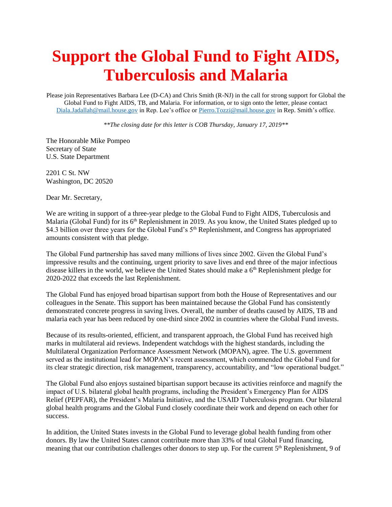## **Support the Global Fund to Fight AIDS, Tuberculosis and Malaria**

Please join Representatives Barbara Lee (D-CA) and Chris Smith (R-NJ) in the call for strong support for Global the Global Fund to Fight AIDS, TB, and Malaria. For information, or to sign onto the letter, please contact [Diala.Jadallah@mail.house.gov](mailto:Diala.Jadallah@mail.house.gov) in Rep. Lee's office o[r Pierro.Tozzi@mail.house.gov](mailto:Pierro.Tozzi@mail.house.gov) in Rep. Smith's office.

*\*\*The closing date for this letter is COB Thursday, January 17, 2019\*\**

The Honorable Mike Pompeo Secretary of State U.S. State Department

2201 C St. NW Washington, DC 20520

Dear Mr. Secretary,

We are writing in support of a three-year pledge to the Global Fund to Fight AIDS, Tuberculosis and Malaria (Global Fund) for its 6<sup>th</sup> Replenishment in 2019. As you know, the United States pledged up to \$4.3 billion over three years for the Global Fund's 5<sup>th</sup> Replenishment, and Congress has appropriated amounts consistent with that pledge.

The Global Fund partnership has saved many millions of lives since 2002. Given the Global Fund's impressive results and the continuing, urgent priority to save lives and end three of the major infectious disease killers in the world, we believe the United States should make a 6<sup>th</sup> Replenishment pledge for 2020-2022 that exceeds the last Replenishment.

The Global Fund has enjoyed broad bipartisan support from both the House of Representatives and our colleagues in the Senate. This support has been maintained because the Global Fund has consistently demonstrated concrete progress in saving lives. Overall, the number of deaths caused by AIDS, TB and malaria each year has been reduced by one-third since 2002 in countries where the Global Fund invests.

Because of its results-oriented, efficient, and transparent approach, the Global Fund has received high marks in multilateral aid reviews. Independent watchdogs with the highest standards, including the Multilateral Organization Performance Assessment Network (MOPAN), agree. The U.S. government served as the institutional lead for MOPAN's recent assessment, which commended the Global Fund for its clear strategic direction, risk management, transparency, accountability, and "low operational budget."

The Global Fund also enjoys sustained bipartisan support because its activities reinforce and magnify the impact of U.S. bilateral global health programs, including the President's Emergency Plan for AIDS Relief (PEPFAR), the President's Malaria Initiative, and the USAID Tuberculosis program. Our bilateral global health programs and the Global Fund closely coordinate their work and depend on each other for success.

In addition, the United States invests in the Global Fund to leverage global health funding from other donors. By law the United States cannot contribute more than 33% of total Global Fund financing, meaning that our contribution challenges other donors to step up. For the current 5<sup>th</sup> Replenishment, 9 of